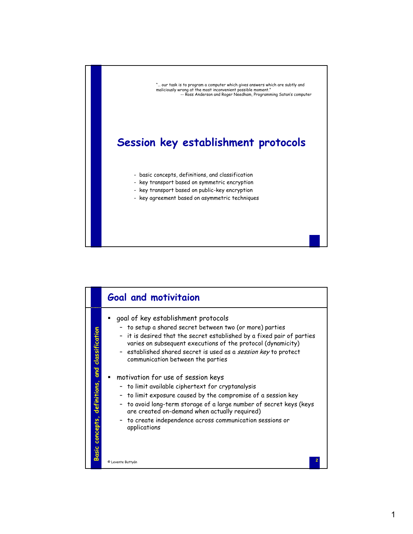

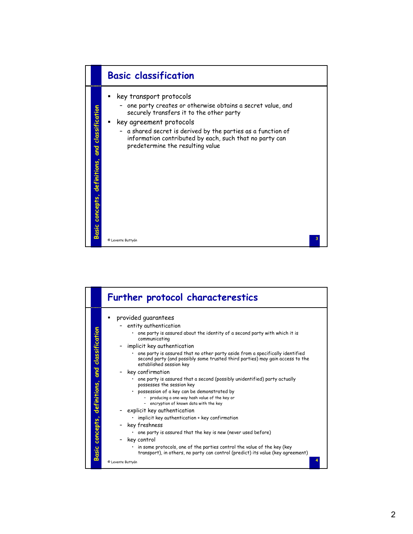

|                                                                 | Further protocol characterestics                                                                                                                                                                                                                                                                                                                                                                                                                                                                                                                                                                                                                                                                                                                                                                                                                                                                                                                                                                               |
|-----------------------------------------------------------------|----------------------------------------------------------------------------------------------------------------------------------------------------------------------------------------------------------------------------------------------------------------------------------------------------------------------------------------------------------------------------------------------------------------------------------------------------------------------------------------------------------------------------------------------------------------------------------------------------------------------------------------------------------------------------------------------------------------------------------------------------------------------------------------------------------------------------------------------------------------------------------------------------------------------------------------------------------------------------------------------------------------|
| and classification<br>definitions,<br>concepts,<br><b>Basic</b> | provided guarantees<br>entity authentication<br>• one party is assured about the identity of a second party with which it is<br>communicating<br>implicit key authentication<br>one party is assured that no other party aside from a specifically identified<br>second party (and possibly some trusted third parties) may gain access to the<br>established session key<br>key confirmation<br>one party is assured that a second (possibly unidentified) party actually<br>possesses the session key<br>possession of a key can be demonstrated by<br>- producing a one-way hash value of the key or<br>- encryption of known data with the key<br>explicit key authentication<br>implicit key authentication + key confirmation<br>key freshness<br>one party is assured that the key is new (never used before)<br>key control<br>in some protocols, one of the parties control the value of the key (key<br>$\bullet$<br>transport), in others, no party can control (predict) its value (key agreement) |
|                                                                 | © Levente Buttyán                                                                                                                                                                                                                                                                                                                                                                                                                                                                                                                                                                                                                                                                                                                                                                                                                                                                                                                                                                                              |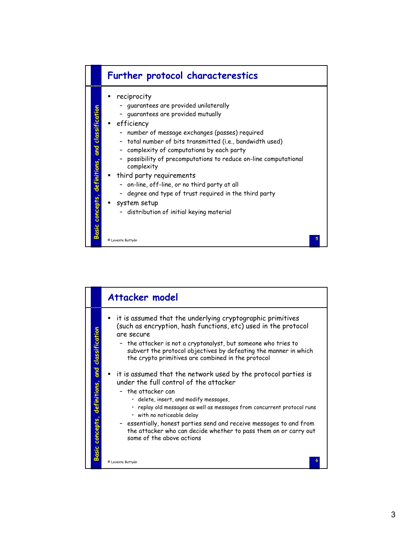

|                                 | Attacker model                                                                                                                                                                                                                                                                                                                                                                                                          |
|---------------------------------|-------------------------------------------------------------------------------------------------------------------------------------------------------------------------------------------------------------------------------------------------------------------------------------------------------------------------------------------------------------------------------------------------------------------------|
| and classification              | it is assumed that the underlying cryptographic primitives<br>(such as encryption, hash functions, etc) used in the protocol<br>are secure<br>- the attacker is not a cryptanalyst, but someone who tries to<br>subvert the protocol objectives by defeating the manner in which<br>the crypto primitives are combined in the protocol<br>$\blacksquare$ it is assumed that the network used by the protocol parties is |
| definitions,<br>Basic concepts, | under the full control of the attacker<br>- the attacker can<br>· delete, insert, and modify messages,<br>· replay old messages as well as messages from concurrent protocol runs<br>· with no noticeable delay<br>- essentially, honest parties send and receive messages to and from<br>the attacker who can decide whether to pass them on or carry out<br>some of the above actions                                 |
|                                 | © Levente Buttyán                                                                                                                                                                                                                                                                                                                                                                                                       |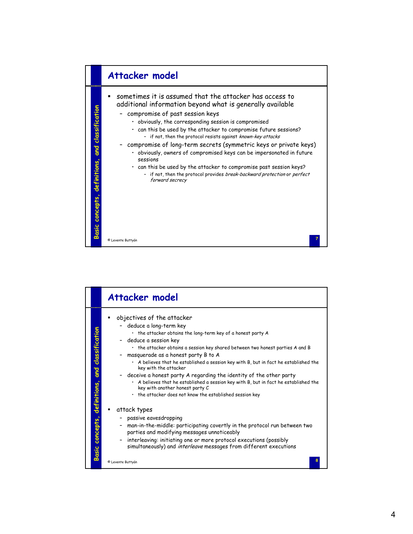

|                                                       | Attacker model                                                                                                                                                                                                                                                                                                                                                                                                                                                                                                                                                                                                                                                                                                                                                                                                                                                                                                                                                                                |
|-------------------------------------------------------|-----------------------------------------------------------------------------------------------------------------------------------------------------------------------------------------------------------------------------------------------------------------------------------------------------------------------------------------------------------------------------------------------------------------------------------------------------------------------------------------------------------------------------------------------------------------------------------------------------------------------------------------------------------------------------------------------------------------------------------------------------------------------------------------------------------------------------------------------------------------------------------------------------------------------------------------------------------------------------------------------|
| and classification<br>definitions,<br>Basic concepts, | objectives of the attacker<br>deduce a long-term key<br>· the attacker obtains the long-term key of a honest party A<br>deduce a session key<br>. the attacker obtains a session key shared between two honest parties A and B<br>masquerade as a honest party B to A<br>. A believes that he established a session key with B, but in fact he established the<br>key with the attacker<br>deceive a honest party A regarding the identity of the other party<br>A believes that he established a session key with B, but in fact he established the<br>key with another honest party C<br>. the attacker does not know the established session key<br>attack types<br>passive eavesdropping<br>man-in-the-middle: participating covertly in the protocol run between two<br>parties and modifying messages unnoticeably<br>interleaving: initiating one or more protocol executions (possibly<br>-<br>simultaneously) and interleave messages from different executions<br>© Levente Buttyán |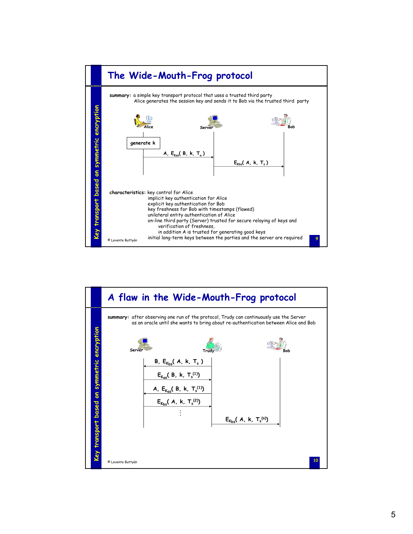

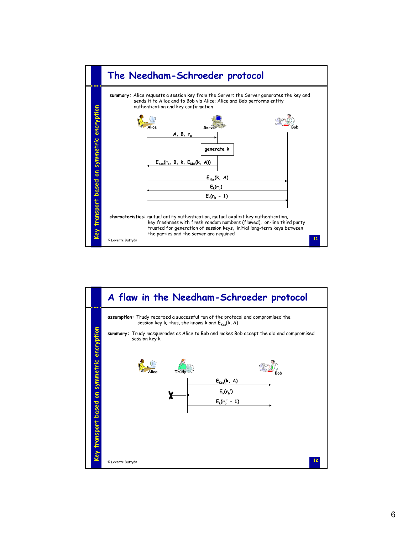

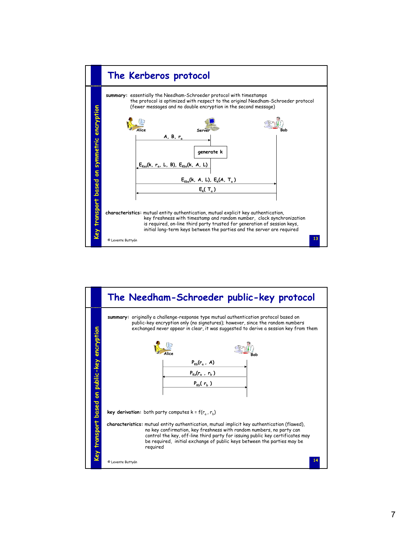

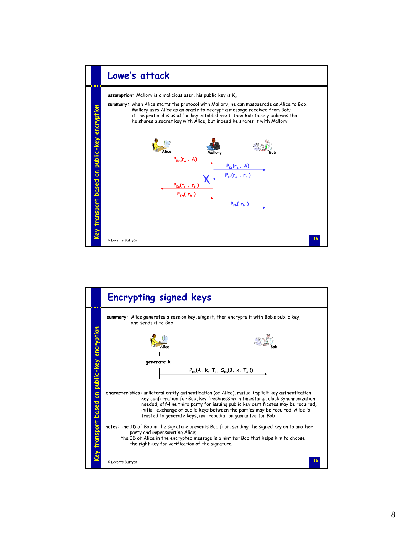

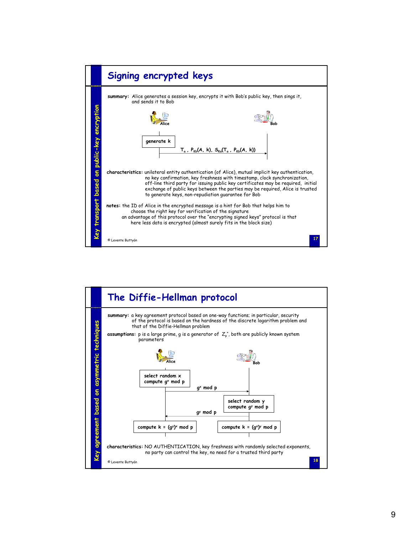